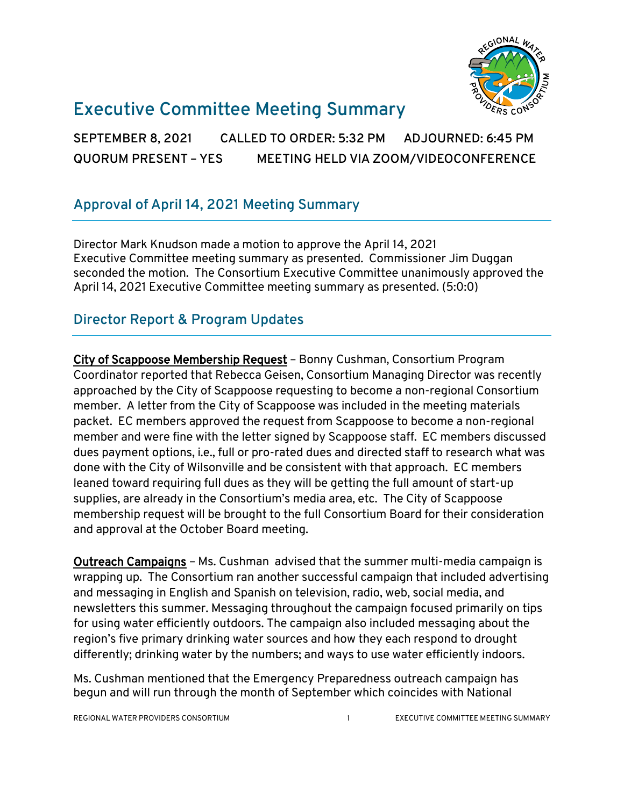

# **Executive Committee Meeting Summary**

**SEPTEMBER 8, 2021 CALLED TO ORDER: 5:32 PM ADJOURNED: 6:45 PM QUORUM PRESENT – YES MEETING HELD VIA ZOOM/VIDEOCONFERENCE**

## **Approval of April 14, 2021 Meeting Summary**

Director Mark Knudson made a motion to approve the April 14, 2021 Executive Committee meeting summary as presented. Commissioner Jim Duggan seconded the motion. The Consortium Executive Committee unanimously approved the April 14, 2021 Executive Committee meeting summary as presented. (5:0:0)

### **Director Report & Program Updates**

City of Scappoose Membership Request – Bonny Cushman, Consortium Program Coordinator reported that Rebecca Geisen, Consortium Managing Director was recently approached by the City of Scappoose requesting to become a non-regional Consortium member. A letter from the City of Scappoose was included in the meeting materials packet. EC members approved the request from Scappoose to become a non-regional member and were fine with the letter signed by Scappoose staff. EC members discussed dues payment options, i.e., full or pro-rated dues and directed staff to research what was done with the City of Wilsonville and be consistent with that approach. EC members leaned toward requiring full dues as they will be getting the full amount of start-up supplies, are already in the Consortium's media area, etc. The City of Scappoose membership request will be brought to the full Consortium Board for their consideration and approval at the October Board meeting.

Outreach Campaigns – Ms. Cushman advised that the summer multi-media campaign is wrapping up. The Consortium ran another successful campaign that included advertising and messaging in English and Spanish on television, radio, web, social media, and newsletters this summer. Messaging throughout the campaign focused primarily on tips for using water efficiently outdoors. The campaign also included messaging about the region's five primary drinking water sources and how they each respond to drought differently; drinking water by the numbers; and ways to use water efficiently indoors.

Ms. Cushman mentioned that the Emergency Preparedness outreach campaign has begun and will run through the month of September which coincides with National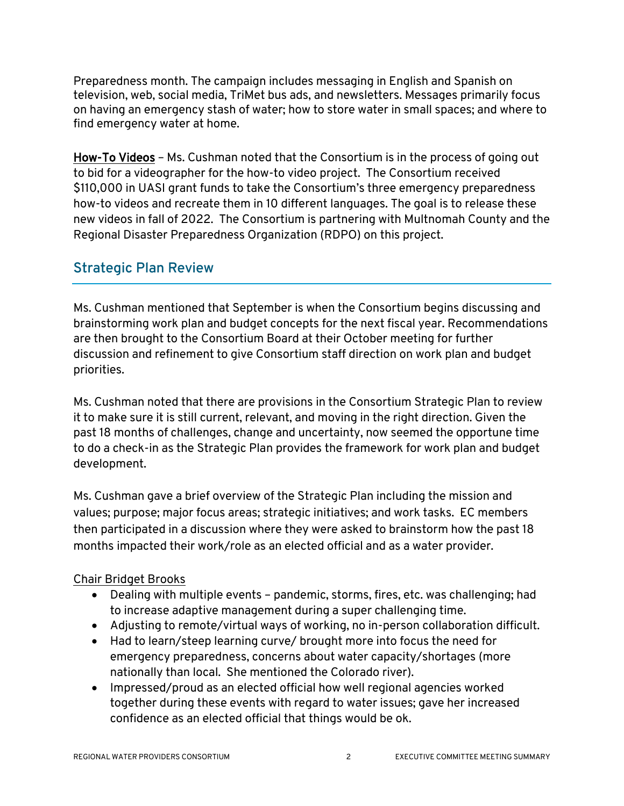Preparedness month. The campaign includes messaging in English and Spanish on television, web, social media, TriMet bus ads, and newsletters. Messages primarily focus on having an emergency stash of water; how to store water in small spaces; and where to find emergency water at home.

How-To Videos – Ms. Cushman noted that the Consortium is in the process of going out to bid for a videographer for the how-to video project. The Consortium received \$110,000 in UASI grant funds to take the Consortium's three emergency preparedness how-to videos and recreate them in 10 different languages. The goal is to release these new videos in fall of 2022. The Consortium is partnering with Multnomah County and the Regional Disaster Preparedness Organization (RDPO) on this project.

### **Strategic Plan Review**

Ms. Cushman mentioned that September is when the Consortium begins discussing and brainstorming work plan and budget concepts for the next fiscal year. Recommendations are then brought to the Consortium Board at their October meeting for further discussion and refinement to give Consortium staff direction on work plan and budget priorities.

Ms. Cushman noted that there are provisions in the Consortium Strategic Plan to review it to make sure it is still current, relevant, and moving in the right direction. Given the past 18 months of challenges, change and uncertainty, now seemed the opportune time to do a check-in as the Strategic Plan provides the framework for work plan and budget development.

Ms. Cushman gave a brief overview of the Strategic Plan including the mission and values; purpose; major focus areas; strategic initiatives; and work tasks. EC members then participated in a discussion where they were asked to brainstorm how the past 18 months impacted their work/role as an elected official and as a water provider.

#### Chair Bridget Brooks

- Dealing with multiple events pandemic, storms, fires, etc. was challenging; had to increase adaptive management during a super challenging time.
- Adjusting to remote/virtual ways of working, no in-person collaboration difficult.
- Had to learn/steep learning curve/ brought more into focus the need for emergency preparedness, concerns about water capacity/shortages (more nationally than local. She mentioned the Colorado river).
- Impressed/proud as an elected official how well regional agencies worked together during these events with regard to water issues; gave her increased confidence as an elected official that things would be ok.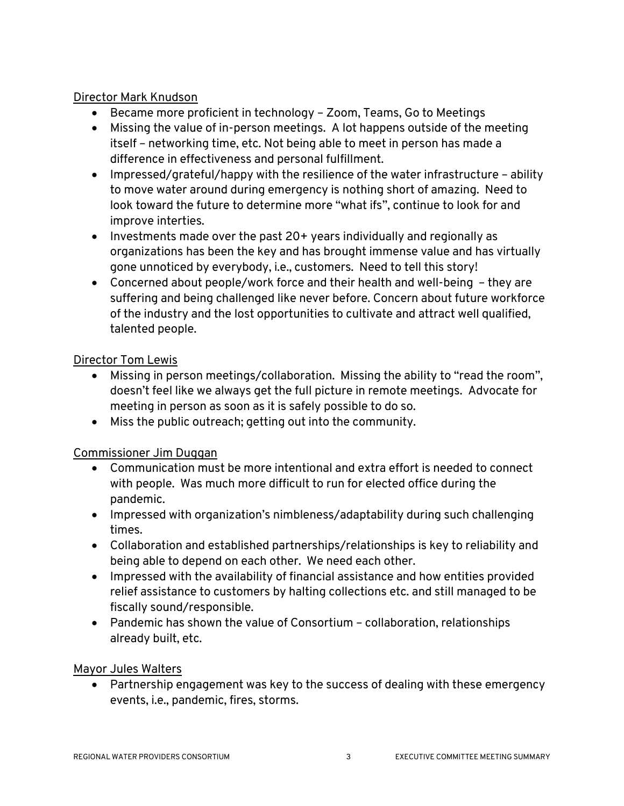#### Director Mark Knudson

- Became more proficient in technology Zoom, Teams, Go to Meetings
- Missing the value of in-person meetings. A lot happens outside of the meeting itself – networking time, etc. Not being able to meet in person has made a difference in effectiveness and personal fulfillment.
- Impressed/grateful/happy with the resilience of the water infrastructure ability to move water around during emergency is nothing short of amazing. Need to look toward the future to determine more "what ifs", continue to look for and improve interties.
- Investments made over the past 20+ years individually and regionally as organizations has been the key and has brought immense value and has virtually gone unnoticed by everybody, i.e., customers. Need to tell this story!
- Concerned about people/work force and their health and well-being they are suffering and being challenged like never before. Concern about future workforce of the industry and the lost opportunities to cultivate and attract well qualified, talented people.

#### Director Tom Lewis

- Missing in person meetings/collaboration. Missing the ability to "read the room", doesn't feel like we always get the full picture in remote meetings. Advocate for meeting in person as soon as it is safely possible to do so.
- Miss the public outreach; getting out into the community.

#### Commissioner Jim Duggan

- Communication must be more intentional and extra effort is needed to connect with people. Was much more difficult to run for elected office during the pandemic.
- Impressed with organization's nimbleness/adaptability during such challenging times.
- Collaboration and established partnerships/relationships is key to reliability and being able to depend on each other. We need each other.
- Impressed with the availability of financial assistance and how entities provided relief assistance to customers by halting collections etc. and still managed to be fiscally sound/responsible.
- Pandemic has shown the value of Consortium collaboration, relationships already built, etc.

#### Mayor Jules Walters

• Partnership engagement was key to the success of dealing with these emergency events, i.e., pandemic, fires, storms.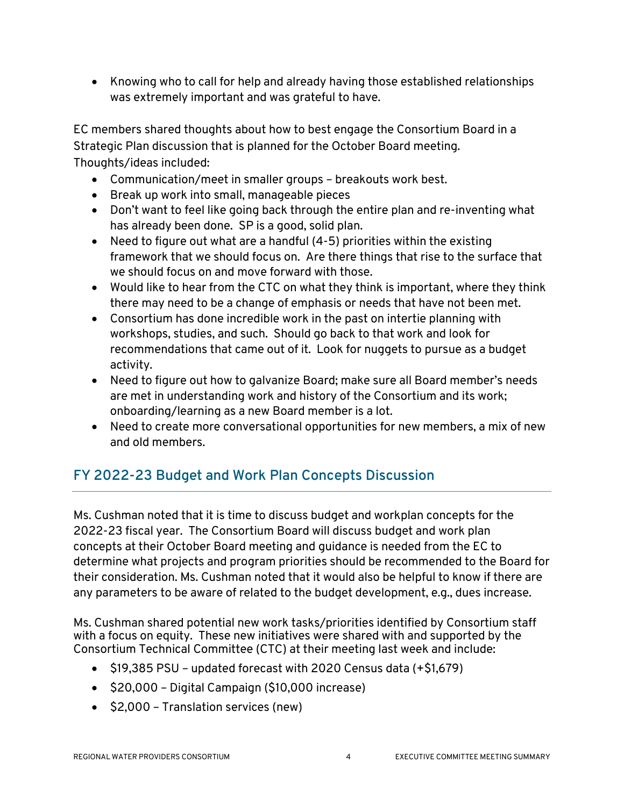• Knowing who to call for help and already having those established relationships was extremely important and was grateful to have.

EC members shared thoughts about how to best engage the Consortium Board in a Strategic Plan discussion that is planned for the October Board meeting. Thoughts/ideas included:

- Communication/meet in smaller groups breakouts work best.
- Break up work into small, manageable pieces
- Don't want to feel like going back through the entire plan and re-inventing what has already been done. SP is a good, solid plan.
- Need to figure out what are a handful (4-5) priorities within the existing framework that we should focus on. Are there things that rise to the surface that we should focus on and move forward with those.
- Would like to hear from the CTC on what they think is important, where they think there may need to be a change of emphasis or needs that have not been met.
- Consortium has done incredible work in the past on intertie planning with workshops, studies, and such. Should go back to that work and look for recommendations that came out of it. Look for nuggets to pursue as a budget activity.
- Need to figure out how to galvanize Board; make sure all Board member's needs are met in understanding work and history of the Consortium and its work; onboarding/learning as a new Board member is a lot.
- Need to create more conversational opportunities for new members, a mix of new and old members.

# **FY 2022-23 Budget and Work Plan Concepts Discussion**

Ms. Cushman noted that it is time to discuss budget and workplan concepts for the 2022-23 fiscal year. The Consortium Board will discuss budget and work plan concepts at their October Board meeting and guidance is needed from the EC to determine what projects and program priorities should be recommended to the Board for their consideration. Ms. Cushman noted that it would also be helpful to know if there are any parameters to be aware of related to the budget development, e.g., dues increase.

Ms. Cushman shared potential new work tasks/priorities identified by Consortium staff with a focus on equity. These new initiatives were shared with and supported by the Consortium Technical Committee (CTC) at their meeting last week and include:

- \$19,385 PSU updated forecast with 2020 Census data (+\$1,679)
- \$20,000 Digital Campaign (\$10,000 increase)
- \$2,000 Translation services (new)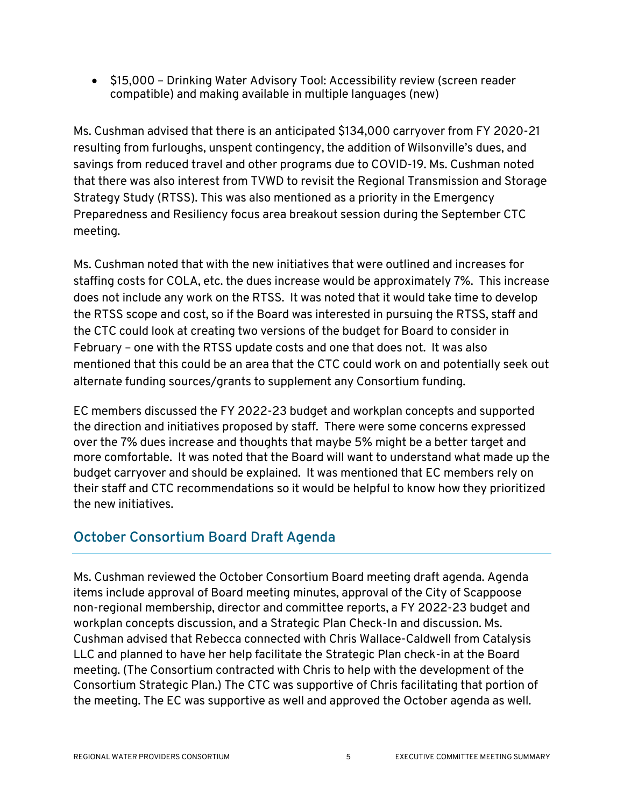• \$15,000 – Drinking Water Advisory Tool: Accessibility review (screen reader compatible) and making available in multiple languages (new)

Ms. Cushman advised that there is an anticipated \$134,000 carryover from FY 2020-21 resulting from furloughs, unspent contingency, the addition of Wilsonville's dues, and savings from reduced travel and other programs due to COVID-19. Ms. Cushman noted that there was also interest from TVWD to revisit the Regional Transmission and Storage Strategy Study (RTSS). This was also mentioned as a priority in the Emergency Preparedness and Resiliency focus area breakout session during the September CTC meeting.

Ms. Cushman noted that with the new initiatives that were outlined and increases for staffing costs for COLA, etc. the dues increase would be approximately 7%. This increase does not include any work on the RTSS. It was noted that it would take time to develop the RTSS scope and cost, so if the Board was interested in pursuing the RTSS, staff and the CTC could look at creating two versions of the budget for Board to consider in February – one with the RTSS update costs and one that does not. It was also mentioned that this could be an area that the CTC could work on and potentially seek out alternate funding sources/grants to supplement any Consortium funding.

EC members discussed the FY 2022-23 budget and workplan concepts and supported the direction and initiatives proposed by staff. There were some concerns expressed over the 7% dues increase and thoughts that maybe 5% might be a better target and more comfortable. It was noted that the Board will want to understand what made up the budget carryover and should be explained. It was mentioned that EC members rely on their staff and CTC recommendations so it would be helpful to know how they prioritized the new initiatives.

# **October Consortium Board Draft Agenda**

Ms. Cushman reviewed the October Consortium Board meeting draft agenda. Agenda items include approval of Board meeting minutes, approval of the City of Scappoose non-regional membership, director and committee reports, a FY 2022-23 budget and workplan concepts discussion, and a Strategic Plan Check-In and discussion. Ms. Cushman advised that Rebecca connected with Chris Wallace-Caldwell from Catalysis LLC and planned to have her help facilitate the Strategic Plan check-in at the Board meeting. (The Consortium contracted with Chris to help with the development of the Consortium Strategic Plan.) The CTC was supportive of Chris facilitating that portion of the meeting. The EC was supportive as well and approved the October agenda as well.